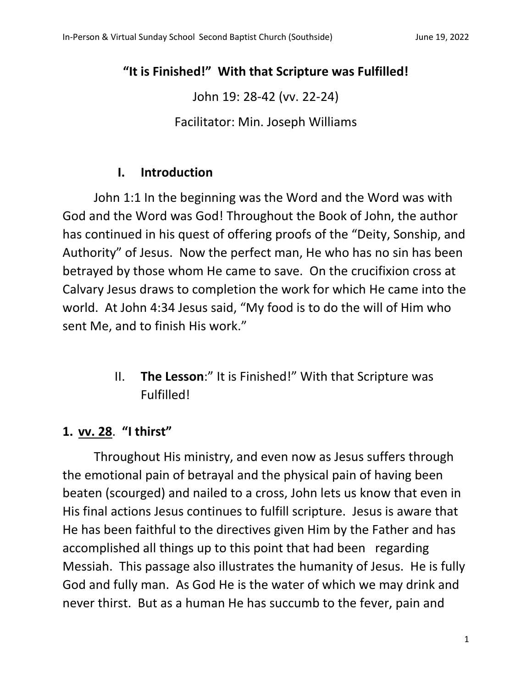## **"It is Finished!" With that Scripture was Fulfilled!**

John 19: 28-42 (vv. 22-24)

Facilitator: Min. Joseph Williams

### **I. Introduction**

John 1:1 In the beginning was the Word and the Word was with God and the Word was God! Throughout the Book of John, the author has continued in his quest of offering proofs of the "Deity, Sonship, and Authority" of Jesus. Now the perfect man, He who has no sin has been betrayed by those whom He came to save. On the crucifixion cross at Calvary Jesus draws to completion the work for which He came into the world. At John 4:34 Jesus said, "My food is to do the will of Him who sent Me, and to finish His work."

> II. **The Lesson**:" It is Finished!" With that Scripture was Fulfilled!

# **1. vv. 28**. **"I thirst"**

Throughout His ministry, and even now as Jesus suffers through the emotional pain of betrayal and the physical pain of having been beaten (scourged) and nailed to a cross, John lets us know that even in His final actions Jesus continues to fulfill scripture. Jesus is aware that He has been faithful to the directives given Him by the Father and has accomplished all things up to this point that had been regarding Messiah. This passage also illustrates the humanity of Jesus. He is fully God and fully man. As God He is the water of which we may drink and never thirst. But as a human He has succumb to the fever, pain and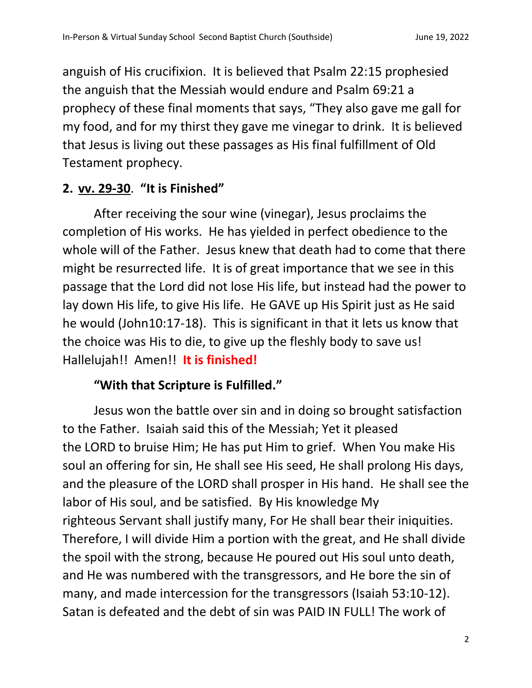anguish of His crucifixion. It is believed that Psalm 22:15 prophesied the anguish that the Messiah would endure and Psalm 69:21 a prophecy of these final moments that says, "They also gave me gall for my food, and for my thirst they gave me vinegar to drink. It is believed that Jesus is living out these passages as His final fulfillment of Old Testament prophecy.

# **2. vv. 29-30**. **"It is Finished"**

After receiving the sour wine (vinegar), Jesus proclaims the completion of His works. He has yielded in perfect obedience to the whole will of the Father. Jesus knew that death had to come that there might be resurrected life. It is of great importance that we see in this passage that the Lord did not lose His life, but instead had the power to lay down His life, to give His life. He GAVE up His Spirit just as He said he would (John10:17-18). This is significant in that it lets us know that the choice was His to die, to give up the fleshly body to save us! Hallelujah!! Amen!! **It is finished!**

# **"With that Scripture is Fulfilled."**

Jesus won the battle over sin and in doing so brought satisfaction to the Father. Isaiah said this of the Messiah; Yet it pleased the LORD to bruise Him; He has put Him to grief. When You make His soul an offering for sin, He shall see His seed, He shall prolong His days, and the pleasure of the LORD shall prosper in His hand. He shall see the labor of His soul, and be satisfied. By His knowledge My righteous Servant shall justify many, For He shall bear their iniquities. Therefore, I will divide Him a portion with the great, and He shall divide the spoil with the strong, because He poured out His soul unto death, and He was numbered with the transgressors, and He bore the sin of many, and made intercession for the transgressors (Isaiah 53:10-12). Satan is defeated and the debt of sin was PAID IN FULL! The work of